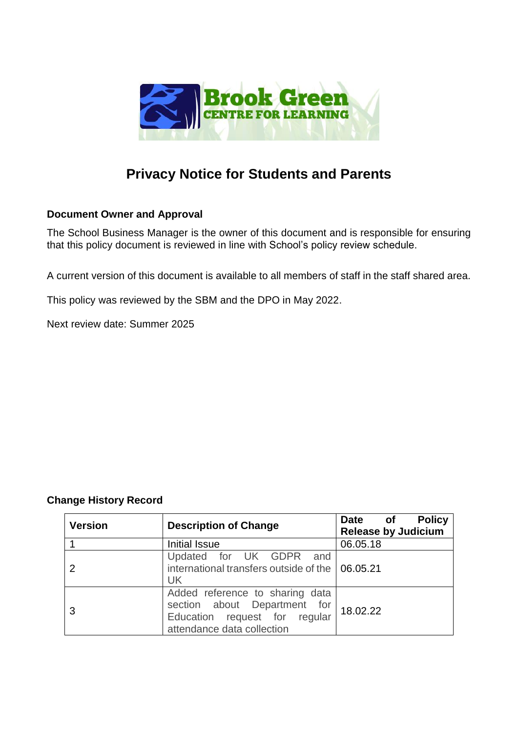

# **Privacy Notice for Students and Parents**

# **Document Owner and Approval**

The School Business Manager is the owner of this document and is responsible for ensuring that this policy document is reviewed in line with School's policy review schedule.

A current version of this document is available to all members of staff in the staff shared area.

This policy was reviewed by the SBM and the DPO in May 2022.

Next review date: Summer 2025

# **Change History Record**

| <b>Version</b> | <b>Description of Change</b>                                                                                                   | <b>Policy</b><br><b>Date</b><br>of<br><b>Release by Judicium</b> |
|----------------|--------------------------------------------------------------------------------------------------------------------------------|------------------------------------------------------------------|
|                | Initial Issue                                                                                                                  | 06.05.18                                                         |
| 2              | Updated for UK GDPR and<br>international transfers outside of the   06.05.21<br><b>UK</b>                                      |                                                                  |
| 3              | Added reference to sharing data<br>section about Department for<br>Education request for regular<br>attendance data collection | 18.02.22                                                         |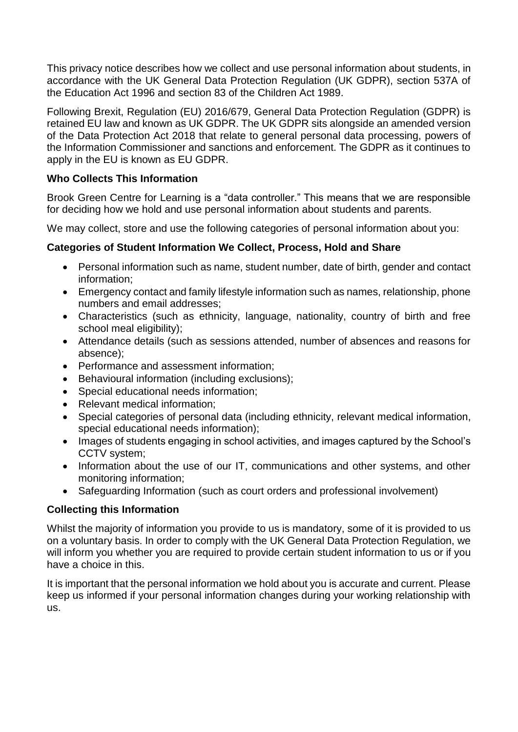This privacy notice describes how we collect and use personal information about students, in accordance with the UK General Data Protection Regulation (UK GDPR), section 537A of the Education Act 1996 and section 83 of the Children Act 1989.

Following Brexit, Regulation (EU) 2016/679, General Data Protection Regulation (GDPR) is retained EU law and known as UK GDPR. The UK GDPR sits alongside an amended version of the Data Protection Act 2018 that relate to general personal data processing, powers of the Information Commissioner and sanctions and enforcement. The GDPR as it continues to apply in the EU is known as EU GDPR.

# **Who Collects This Information**

Brook Green Centre for Learning is a "data controller." This means that we are responsible for deciding how we hold and use personal information about students and parents.

We may collect, store and use the following categories of personal information about you:

# **Categories of Student Information We Collect, Process, Hold and Share**

- Personal information such as name, student number, date of birth, gender and contact information;
- Emergency contact and family lifestyle information such as names, relationship, phone numbers and email addresses;
- Characteristics (such as ethnicity, language, nationality, country of birth and free school meal eligibility);
- Attendance details (such as sessions attended, number of absences and reasons for absence);
- Performance and assessment information;
- Behavioural information (including exclusions);
- Special educational needs information;
- Relevant medical information;
- Special categories of personal data (including ethnicity, relevant medical information, special educational needs information);
- Images of students engaging in school activities, and images captured by the School's CCTV system;
- Information about the use of our IT, communications and other systems, and other monitoring information;
- Safeguarding Information (such as court orders and professional involvement)

# **Collecting this Information**

Whilst the majority of information you provide to us is mandatory, some of it is provided to us on a voluntary basis. In order to comply with the UK General Data Protection Regulation, we will inform you whether you are required to provide certain student information to us or if you have a choice in this.

It is important that the personal information we hold about you is accurate and current. Please keep us informed if your personal information changes during your working relationship with us.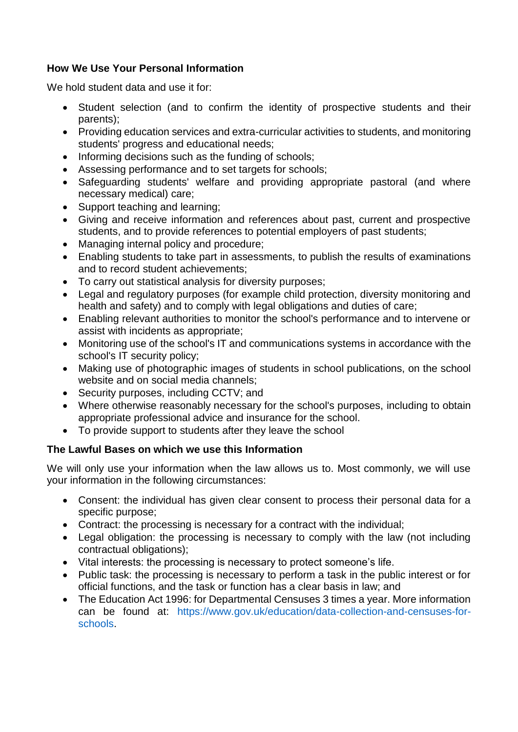# **How We Use Your Personal Information**

We hold student data and use it for:

- Student selection (and to confirm the identity of prospective students and their parents);
- Providing education services and extra-curricular activities to students, and monitoring students' progress and educational needs;
- Informing decisions such as the funding of schools;
- Assessing performance and to set targets for schools;
- Safeguarding students' welfare and providing appropriate pastoral (and where necessary medical) care;
- Support teaching and learning:
- Giving and receive information and references about past, current and prospective students, and to provide references to potential employers of past students;
- Managing internal policy and procedure;
- Enabling students to take part in assessments, to publish the results of examinations and to record student achievements;
- To carry out statistical analysis for diversity purposes;
- Legal and regulatory purposes (for example child protection, diversity monitoring and health and safety) and to comply with legal obligations and duties of care;
- Enabling relevant authorities to monitor the school's performance and to intervene or assist with incidents as appropriate;
- Monitoring use of the school's IT and communications systems in accordance with the school's IT security policy;
- Making use of photographic images of students in school publications, on the school website and on social media channels;
- Security purposes, including CCTV; and
- Where otherwise reasonably necessary for the school's purposes, including to obtain appropriate professional advice and insurance for the school.
- To provide support to students after they leave the school

# **The Lawful Bases on which we use this Information**

We will only use your information when the law allows us to. Most commonly, we will use your information in the following circumstances:

- Consent: the individual has given clear consent to process their personal data for a specific purpose;
- Contract: the processing is necessary for a contract with the individual;
- Legal obligation: the processing is necessary to comply with the law (not including contractual obligations);
- Vital interests: the processing is necessary to protect someone's life.
- Public task: the processing is necessary to perform a task in the public interest or for official functions, and the task or function has a clear basis in law; and
- The Education Act 1996: for Departmental Censuses 3 times a year. More information can be found at: [https://www.gov.uk/education/data-collection-and-censuses-for](https://www.gov.uk/education/data-collection-and-censuses-for-schools)[schools.](https://www.gov.uk/education/data-collection-and-censuses-for-schools)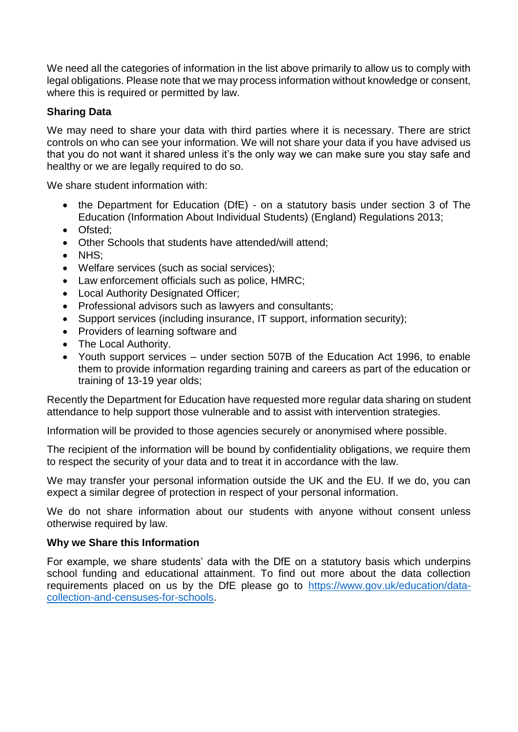We need all the categories of information in the list above primarily to allow us to comply with legal obligations. Please note that we may process information without knowledge or consent, where this is required or permitted by law.

# **Sharing Data**

We may need to share your data with third parties where it is necessary. There are strict controls on who can see your information. We will not share your data if you have advised us that you do not want it shared unless it's the only way we can make sure you stay safe and healthy or we are legally required to do so.

We share student information with:

- the Department for Education (DfE) on a statutory basis under section 3 of The Education (Information About Individual Students) (England) Regulations 2013;
- Ofsted;
- Other Schools that students have attended/will attend;
- NHS:
- Welfare services (such as social services);
- Law enforcement officials such as police, HMRC;
- Local Authority Designated Officer;
- Professional advisors such as lawyers and consultants;
- Support services (including insurance, IT support, information security);
- Providers of learning software and
- The Local Authority.
- Youth support services under section 507B of the Education Act 1996, to enable them to provide information regarding training and careers as part of the education or training of 13-19 year olds;

Recently the Department for Education have requested more regular data sharing on student attendance to help support those vulnerable and to assist with intervention strategies.

Information will be provided to those agencies securely or anonymised where possible.

The recipient of the information will be bound by confidentiality obligations, we require them to respect the security of your data and to treat it in accordance with the law.

We may transfer your personal information outside the UK and the EU. If we do, you can expect a similar degree of protection in respect of your personal information.

We do not share information about our students with anyone without consent unless otherwise required by law.

## **Why we Share this Information**

For example, we share students' data with the DfE on a statutory basis which underpins school funding and educational attainment. To find out more about the data collection requirements placed on us by the DfE please go to [https://www.gov.uk/education/data](https://www.gov.uk/education/data-collection-and-censuses-for-schools)[collection-and-censuses-for-schools.](https://www.gov.uk/education/data-collection-and-censuses-for-schools)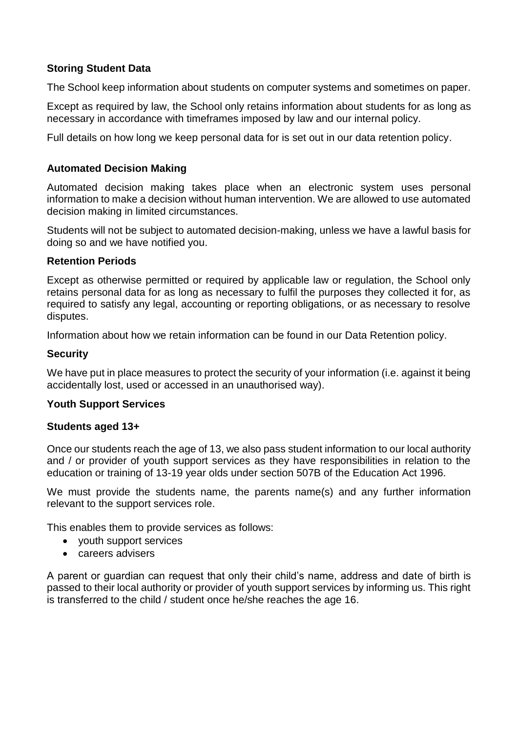## **Storing Student Data**

The School keep information about students on computer systems and sometimes on paper.

Except as required by law, the School only retains information about students for as long as necessary in accordance with timeframes imposed by law and our internal policy.

Full details on how long we keep personal data for is set out in our data retention policy.

## **Automated Decision Making**

Automated decision making takes place when an electronic system uses personal information to make a decision without human intervention. We are allowed to use automated decision making in limited circumstances.

Students will not be subject to automated decision-making, unless we have a lawful basis for doing so and we have notified you.

#### **Retention Periods**

Except as otherwise permitted or required by applicable law or regulation, the School only retains personal data for as long as necessary to fulfil the purposes they collected it for, as required to satisfy any legal, accounting or reporting obligations, or as necessary to resolve disputes.

Information about how we retain information can be found in our Data Retention policy.

#### **Security**

We have put in place measures to protect the security of your information (i.e. against it being accidentally lost, used or accessed in an unauthorised way).

#### **Youth Support Services**

#### **Students aged 13+**

Once our students reach the age of 13, we also pass student information to our local authority and / or provider of youth support services as they have responsibilities in relation to the education or training of 13-19 year olds under section 507B of the Education Act 1996.

We must provide the students name, the parents name(s) and any further information relevant to the support services role.

This enables them to provide services as follows:

- youth support services
- careers advisers

A parent or guardian can request that only their child's name, address and date of birth is passed to their local authority or provider of youth support services by informing us. This right is transferred to the child / student once he/she reaches the age 16.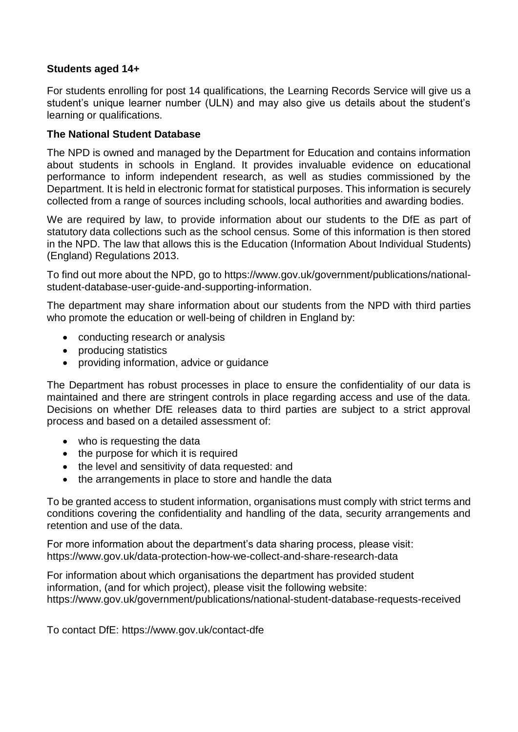## **Students aged 14+**

For students enrolling for post 14 qualifications, the Learning Records Service will give us a student's unique learner number (ULN) and may also give us details about the student's learning or qualifications.

## **The National Student Database**

The NPD is owned and managed by the Department for Education and contains information about students in schools in England. It provides invaluable evidence on educational performance to inform independent research, as well as studies commissioned by the Department. It is held in electronic format for statistical purposes. This information is securely collected from a range of sources including schools, local authorities and awarding bodies.

We are required by law, to provide information about our students to the DfE as part of statutory data collections such as the school census. Some of this information is then stored in the NPD. The law that allows this is the Education (Information About Individual Students) (England) Regulations 2013.

To find out more about the NPD, go to [https://www.gov.uk/government/publications/national](https://www.gov.uk/government/publications/national-pupil-database-user-guide-and-supporting-information)[student-database-user-guide-and-supporting-information.](https://www.gov.uk/government/publications/national-pupil-database-user-guide-and-supporting-information)

The department may share information about our students from the NPD with third parties who promote the education or well-being of children in England by:

- conducting research or analysis
- producing statistics
- providing information, advice or guidance

The Department has robust processes in place to ensure the confidentiality of our data is maintained and there are stringent controls in place regarding access and use of the data. Decisions on whether DfE releases data to third parties are subject to a strict approval process and based on a detailed assessment of:

- who is requesting the data
- the purpose for which it is required
- the level and sensitivity of data requested: and
- the arrangements in place to store and handle the data

To be granted access to student information, organisations must comply with strict terms and conditions covering the confidentiality and handling of the data, security arrangements and retention and use of the data.

For more information about the department's data sharing process, please visit: <https://www.gov.uk/data-protection-how-we-collect-and-share-research-data>

For information about which organisations the department has provided student information, (and for which project), please visit the following website: [https://www.gov.uk/government/publications/national-student-database-requests-received](https://www.gov.uk/government/publications/national-pupil-database-requests-received)

To contact DfE:<https://www.gov.uk/contact-dfe>